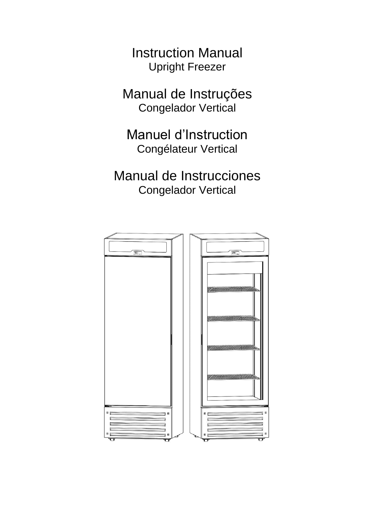Instruction Manual Upright Freezer

Manual de Instruções Congelador Vertical

Manuel d'Instruction Congélateur Vertical

Manual de Instrucciones Congelador Vertical

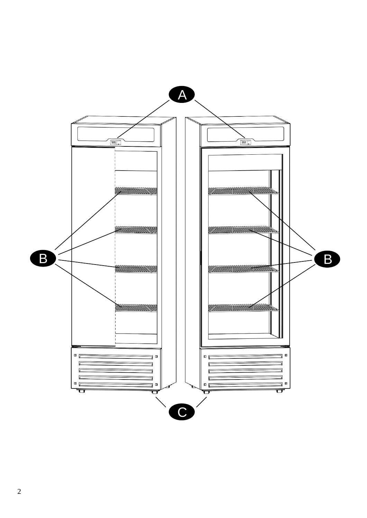

2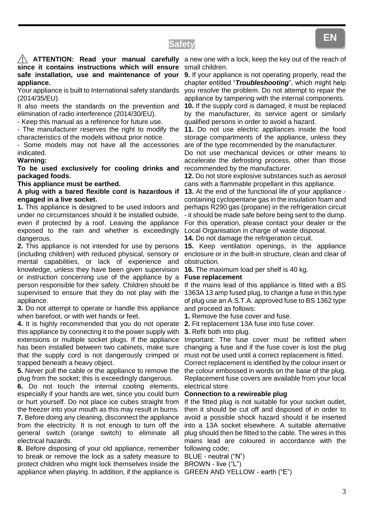# **Safety**

Your appliance is built to International safety standards (2014/35/EU).

It also meets the standards on the prevention and elimination of radio interference (2014/30/EU).

- Keep this manual as a reference for future use.

- The manufacturer reserves the right to modify the characteristics of the models without prior notice.

- Some models may not have all the accessories indicated.

### **Warning:**

**To be used exclusively for cooling drinks and packaged foods.**

**This appliance must be earthed.**

### **A plug with a bared flexible cord is hazardous if engaged in a live socket.**

**1.** This appliance is designed to be used indoors and under no circumstances should it be installed outside, even if protected by a roof. Leaving the appliance exposed to the rain and whether is exceedingly dangerous.

**2.** This appliance is not intended for use by persons (including children) with reduced physical, sensory or mental capabilities, or lack of experience and knowledge, unless they have been given supervision or instruction concerning use of the appliance by a person responsible for their safety. Children should be supervised to ensure that they do not play with the appliance.

**3.** Do not attempt to operate or handle this appliance when barefoot, or with wet hands or feet.

**4.** It is highly recommended that you do not operate this appliance by connecting it to the power supply with extensions or multiple socket plugs. If the appliance has been installed between two cabinets, make sure that the supply cord is not dangerously crimped or trapped beneath a heavy object.

**5.** Never pull the cable or the appliance to remove the plug from the socket; this is exceedingly dangerous.

**6.** Do not touch the internal cooling elements, especially if your hands are wet, since you could burn or hurt yourself. Do not place ice cubes straight from the freezer into your mouth as this may result in burns. **7.** Before doing any cleaning, disconnect the appliance from the electricity. It is not enough to turn off the general switch (orange switch) to eliminate all electrical hazards.

**8.** Before disposing of your old appliance, remember to break or remove the lock as a safety measure to BLUE - neutral ("N") protect children who might lock themselves inside the BROWN - live ("L") appliance when playing. In addition, if the appliance is GREEN AND YELLOW - earth ("E")

**ATTENTION: Read your manual carefully** a new one with a lock, keep the key out of the reach of small children.

> **9.** If your appliance is not operating properly, read the chapter entitled "*Troubleshooting*", which might help you resolve the problem. Do not attempt to repair the appliance by tampering with the internal components.

> **10.** If the supply cord is damaged, it must be replaced by the manufacturer, its service agent or similarly qualified persons in order to avoid a hazard.

> **11.** Do not use electric appliances inside the food storage compartments of the appliance, unless they are of the type recommended by the manufacturer.

> Do not use mechanical devices or other means to accelerate the defrosting process, other than those recommended by the manufacturer.

> **12.** Do not store explosive substances such as aerosol cans with a flammable propellant in this appliance.

> **13.** At the end of the functional life of your appliance containing cyclopentane gas in the insulation foam and perhaps R290 gas (propane) in the refrigeration circuit - it should be made safe before being sent to the dump. For this operation, please contact your dealer or the Local Organisation in charge of waste disposal.

**14.** Do not damage the refrigeration circuit.

**15.** Keep ventilation openings, in the appliance enclosure or in the built-in structure, clean and clear of obstruction.

**16.** The maximum load per shelf is 40 kg.

### **Fuse replacement**

If the mains lead of this appliance is fitted with a BS 1363A 13 amp fused plug, to change a fuse in this type of plug use an A.S.T.A. approved fuse to BS 1362 type and proceed as follows:

**1.** Remove the fuse cover and fuse.

**2.** Fit replacement 13A fuse into fuse cover.

**3.** Refit both into plug.

Important: The fuse cover must be refitted when changing a fuse and if the fuse cover is lost the plug must not be used until a correct replacement is fitted.

Correct replacement is identified by the colour insert or the colour embossed in words on the base of the plug. Replacement fuse covers are available from your local electrical store.

### **Connection to a rewireable plug**

If the fitted plug is not suitable for your socket outlet, then it should be cut off and disposed of in order to avoid a possible shock hazard should it be inserted into a 13A socket elsewhere. A suitable alternative plug should then be fitted to the cable. The wires in this mains lead are coloured in accordance with the following code;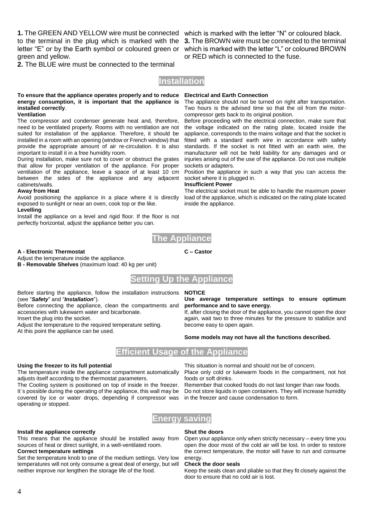**1.** The GREEN AND YELLOW wire must be connected which is marked with the letter "N" or coloured black. green and yellow.

**2.** The BLUE wire must be connected to the terminal

to the terminal in the plug which is marked with the **3.** The BROWN wire must be connected to the terminal letter "E" or by the Earth symbol or coloured green or which is marked with the letter "L" or coloured BROWN or RED which is connected to the fuse.

## **Installation**

### **To ensure that the appliance operates properly and to reduce energy consumption, it is important that the appliance is installed correctly**.

### **Ventilation**

The compressor and condenser generate heat and, therefore, need to be ventilated properly. Rooms with no ventilation are not suited for installation of the appliance. Therefore, it should be installed in a room with an opening (window or French window) that provide the appropriate amount of air re-circulation. It is also important to install it in a free humidity room.

During installation, make sure not to cover or obstruct the grates that allow for proper ventilation of the appliance. For proper ventilation of the appliance, leave a space of at least 10 cm between the sides of the appliance and any adjacent cabinets/walls.

### **Away from Heat**

Avoid positioning the appliance in a place where it is directly exposed to sunlight or near an oven, cook top or the like.

### **Levelling**

Install the appliance on a level and rigid floor. If the floor is not perfectly horizontal, adjust the appliance better you can.

### **Electrical and Earth Connection**

The appliance should not be turned on right after transportation. Two hours is the advised time so that the oil from the motorcompressor gets back to its original position.

Before proceeding with the electrical connection, make sure that the voltage indicated on the rating plate, located inside the appliance, corresponds to the mains voltage and that the socket is fitted with a standard earth wire in accordance with safety standards. If the socket is not fitted with an earth wire, the manufacturer will not be held liability for any damages and or injuries arising out of the use of the appliance. Do not use multiple sockets or adapters.

Position the appliance in such a way that you can access the socket where it is plugged in.

### **Insufficient Power**

The electrical socket must be able to handle the maximum power load of the appliance, which is indicated on the rating plate located inside the appliance.



### **A - Electronic Thermostat**

Adjust the temperature inside the appliance.

**B - Removable Shelves** (maximum load: 40 kg per unit)



Before starting the appliance, follow the installation instructions **NOTICE** (see "*Safety*" and "*Installation*").

Before connecting the appliance, clean the compartments and accessories with lukewarm water and bicarbonate.

Insert the plug into the socket.

Adjust the temperature to the required temperature setting. At this point the appliance can be used.

**C – Castor**

### **Use average temperature settings to ensure optimum performance and to save energy.**

If, after closing the door of the appliance, you cannot open the door again, wait two to three minutes for the pressure to stabilize and become easy to open again.

### **Some models may not have all the functions described.**

# **Efficient Usage of the Appliance**

### **Using the freezer to its full potential**

The temperature inside the appliance compartment automatically adjusts itself according to the thermostat parameters.

The Cooling system is positioned on top of inside in the freezer. It´s possible during the operating of the appliance, this wall may be covered by ice or water drops, depending if compressor was operating or stopped.

This situation is normal and should not be of concern.

Place only cold or lukewarm foods in the compartment, not hot foods or soft drinks.

Remember that cooked foods do not last longer than raw foods. Do not store liquids in open containers. They will increase humidity in the freezer and cause condensation to form.



### **Install the appliance correctly**

This means that the appliance should be installed away from sources of heat or direct sunlight, in a well-ventilated room. **Correct temperature settings**

Set the temperature knob to one of the medium settings. Very low temperatures will not only consume a great deal of energy, but will neither improve nor lengthen the storage life of the food.

### **Shut the doors**

Open your appliance only when strictly necessary – every time you open the door most of the cold air will be lost. In order to restore the correct temperature, the motor will have to run and consume energy.

### **Check the door seals**

Keep the seals clean and pliable so that they fit closely against the door to ensure that no cold air is lost.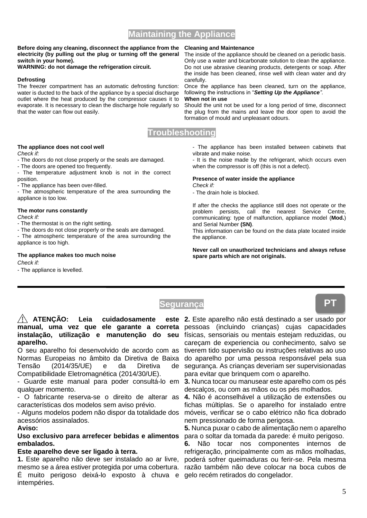# 5

# **Maintaining the Appliance**

### **Before doing any cleaning, disconnect the appliance from the electricity (by pulling out the plug or turning off the general switch in your home).**

**WARNING: do not damage the refrigeration circuit.**

### **Defrosting**

The freezer compartment has an automatic defrosting function: water is ducted to the back of the appliance by a special discharge outlet where the heat produced by the compressor causes it to evaporate. It is necessary to clean the discharge hole regularly so that the water can flow out easily.

### **Cleaning and Maintenance**

The inside of the appliance should be cleaned on a periodic basis. Only use a water and bicarbonate solution to clean the appliance. Do not use abrasive cleaning products, detergents or soap. After the inside has been cleaned, rinse well with clean water and dry carefully.

Once the appliance has been cleaned, turn on the appliance, following the instructions in "*Setting Up the Appliance"*. **When not in use**

Should the unit not be used for a long period of time, disconnect the plug from the mains and leave the door open to avoid the formation of mould and unpleasant odours.

# **Troubleshooting**

### **The appliance does not cool well**

*Check if:*

- The doors do not close properly or the seals are damaged.

- The doors are opened too frequently.

- The temperature adjustment knob is not in the correct position.

- The appliance has been over-filled.

- The atmospheric temperature of the area surrounding the appliance is too low.

### **The motor runs constantly**

*Check if:*

- The thermostat is on the right setting.

- The doors do not close properly or the seals are damaged.

- The atmospheric temperature of the area surrounding the appliance is too high.

## **The appliance makes too much noise**

*Check if:*

- The appliance is levelled.

### - The appliance has been installed between cabinets that vibrate and make noise.

- It is the noise made by the refrigerant, which occurs even when the compressor is off (this is not a defect).

### **Presence of water inside the appliance** *Check if:*

- The drain hole is blocked.

If after the checks the appliance still does not operate or the problem persists, call the nearest Service Centre, communicating: type of malfunction, appliance model (**Mod.**) and Serial Number **(SN)**.

This information can be found on the data plate located inside the appliance.

### **Never call on unauthorized technicians and always refuse spare parts which are not originals.**

# **Segurança**

# ATENÇÃO: Leia cuidadosamente **manual, uma vez que ele garante a correta**  pessoas (incluindo crianças) cujas capacidades **instalação, utilização e manutenção do seu**  físicas, sensoriais ou mentais estejam reduzidas, ou **aparelho.**

O seu aparelho foi desenvolvido de acordo com as Normas Europeias no âmbito da Diretiva de Baixa Tensão (2014/35/UE) e da Diretiva de Compatibilidade Eletromagnética (2014/30/UE).

- Guarde este manual para poder consultá-lo em qualquer momento.

- O fabricante reserva-se o direito de alterar as características dos modelos sem aviso prévio.

- Alguns modelos podem não dispor da totalidade dos acessórios assinalados.

### **Aviso:**

**Uso exclusivo para arrefecer bebidas e alimentos embalados.**

## **Este aparelho deve ser ligado à terra.**

**1.** Este aparelho não deve ser instalado ao ar livre, poderá sofrer queimaduras ou ferir-se. Pela mesma mesmo se a área estiver protegida por uma cobertura. razão também não deve colocar na boca cubos de É muito perigoso deixá-lo exposto à chuva e gelo recém retirados do congelador.intempéries.

**2.** Este aparelho não está destinado a ser usado por careçam de experiencia ou conhecimento, salvo se tiverem tido supervisão ou instruções relativas ao uso do aparelho por uma pessoa responsável pela sua segurança. As crianças deveriam ser supervisionadas para evitar que brinquem com o aparelho.

**3.** Nunca tocar ou manusear este aparelho com os pés descalços, ou com as mãos ou os pés molhados.

**4.** Não é aconselhável a utilização de extensões ou fichas múltiplas. Se o aparelho for instalado entre móveis, verificar se o cabo elétrico não fica dobrado nem pressionado de forma perigosa.

**5.** Nunca puxar o cabo de alimentação nem o aparelho para o soltar da tomada da parede: é muito perigoso.

**6.** Não tocar nos componentes internos de refrigeração, principalmente com as mãos molhadas,

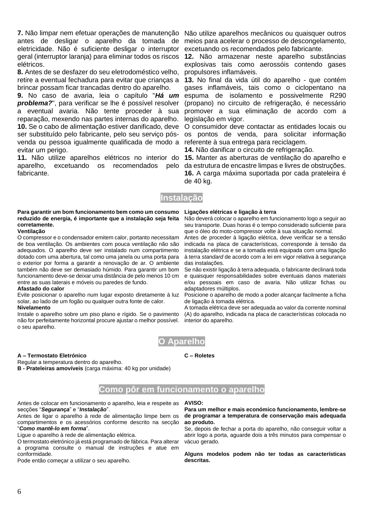**7.** Não limpar nem efetuar operações de manutenção Não utilize aparelhos mecânicos ou quaisquer outros antes de desligar o aparelho da tomada de meios para acelerar o processo de descongelamento, eletricidade. Não é suficiente desligar o interruptor geral (interruptor laranja) para eliminar todos os riscos elétricos.

**8.** Antes de se desfazer do seu eletrodoméstico velho, retire a eventual fechadura para evitar que crianças a brincar possam ficar trancadas dentro do aparelho.

**9.** No caso de avaria, leia o capítulo "*Há um problema?*", para verificar se lhe é possível resolver a eventual avaria. Não tente proceder à sua reparação, mexendo nas partes internas do aparelho. **10.** Se o cabo de alimentação estiver danificado, deve ser substituído pelo fabricante, pelo seu serviço pósvenda ou pessoa igualmente qualificada de modo a evitar um perigo.

**11.** Não utilize aparelhos elétricos no interior do 15. Manter as aberturas de ventilação do aparelho e aparelho, excetuando os recomendados pelo da estrutura de encastre limpas e livres de obstruções. fabricante.

excetuando os recomendados pelo fabricante.

**12.** Não armazenar neste aparelho substâncias explosivas tais como aerossóis contendo gases propulsores inflamáveis.

**13.** No final da vida útil do aparelho - que contém gases inflamáveis, tais como o ciclopentano na espuma de isolamento e possivelmente R290 (propano) no circuito de refrigeração, é necessário promover a sua eliminação de acordo com a legislação em vigor.

O consumidor deve contactar as entidades locais ou os pontos de venda, para solicitar informação referente à sua entrega para reciclagem.

**14.** Não danificar o circuito de refrigeração.

**16.** A carga máxima suportada por cada prateleira é de 40 kg.

# **Instalação**

### **Para garantir um bom funcionamento bem como um consumo reduzido de energia, é importante que a instalação seja feita corretamente.**

### **Ventilação**

O compressor e o condensador emitem calor, portanto necessitam de boa ventilação. Os ambientes com pouca ventilação não são adequados. O aparelho deve ser instalado num compartimento dotado com uma abertura, tal como uma janela ou uma porta para o exterior por forma a garantir a renovação de ar. O ambiente também não deve ser demasiado húmido. Para garantir um bom funcionamento deve-se deixar uma distância de pelo menos 10 cm entre as suas laterais e móveis ou paredes de fundo.

### **Afastado do calor**

Evite posicionar o aparelho num lugar exposto diretamente à luz solar, ao lado de um fogão ou qualquer outra fonte de calor.

### **Nivelamento**

Instale o aparelho sobre um piso plano e rígido. Se o pavimento não for perfeitamente horizontal procure ajustar o melhor possível. o seu aparelho.

**A – Termostato Eletrónico**

Regular a temperatura dentro do aparelho.

**B - Prateleiras amovíveis** (carga máxima: 40 kg por unidade)

### **Ligações elétricas e ligação à terra**

Não deverá colocar o aparelho em funcionamento logo a seguir ao seu transporte. Duas horas é o tempo considerado suficiente para que o óleo do moto-compressor volte à sua situação normal.

Antes de proceder à ligação elétrica, deve verificar se a tensão indicada na placa de características, corresponde à tensão da instalação elétrica e se a tomada está equipada com uma ligação à terra *standard* de acordo com a lei em vigor relativa à segurança das instalações.

Se não existir ligação à terra adequada, o fabricante declinará toda e quaisquer responsabilidades sobre eventuais danos materiais e/ou pessoais em caso de avaria. Não utilizar fichas ou adaptadores múltiplos.

Posicione o aparelho de modo a poder alcançar facilmente a ficha de ligação à tomada elétrica.

A tomada elétrica deve ser adequada ao valor da corrente nominal (A) do aparelho, indicada na placa de características colocada no interior do aparelho.



**C – Roletes**

# **Como pôr em funcionamento o aparelho**

Antes de colocar em funcionamento o aparelho, leia e respeite as **AVISO:** secções "*Segurança*" e "*Instalação*".

Antes de ligar o aparelho à rede de alimentação limpe bem os compartimentos e os acessórios conforme descrito na secção "*Como mantê-lo em forma*".

Ligue o aparelho à rede de alimentação elétrica.

O termostato eletrónico já está programado de fábrica. Para alterar a programa consulte o manual de instruções e atue em conformidade.

Pode então começar a utilizar o seu aparelho.

**Para um melhor e mais económico funcionamento, lembre-se de programar a temperatura de conservação mais adequada ao produto.**

Se, depois de fechar a porta do aparelho, não conseguir voltar a abrir logo a porta, aguarde dois a três minutos para compensar o vácuo gerado.

**Alguns modelos podem não ter todas as características descritas.**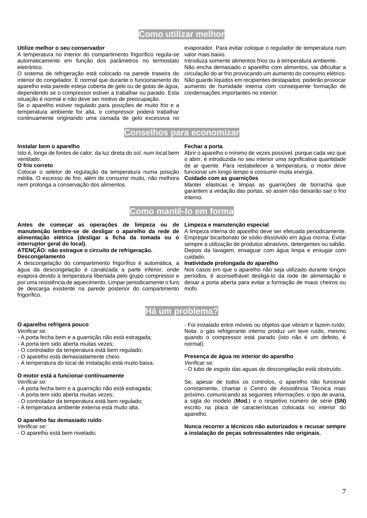# **Como utilizar melhor**

### **Utilize melhor o seu conservador**

A temperatura no interior do compartimento frigorífico regula-se automaticamente em função dos parâmetros no termostato eletrónico.

O sistema de refrigeração está colocado na parede traseira do interior do congelador. É normal que durante o funcionamento do aparelho esta parede esteja coberta de gelo ou de gotas de água, dependendo se o compressor estiver a trabalhar ou parado. Esta situação é normal e não deve ser motivo de preocupação.

Se o aparelho estiver regulado para posições de muito frio e a temperatura ambiente for alta, o compressor poderá trabalhar continuamente originando uma camada de gelo excessiva no

### **Instalar bem o aparelho**

Isto é, longe de fontes de calor, da luz direta do sol, num local bem ventilado.

### **O frio correto**

Colocar o seletor de regulação da temperatura numa posição média. O excesso de frio, além de consumir muito, não melhora nem prolonga a conservação dos alimentos.

evaporador. Para evitar coloque o regulador de temperatura num valor mais baixo.

Introduza somente alimentos frios ou à temperatura ambiente. Não encha demasiado o aparelho com alimentos, vai dificultar a circulação do ar frio provocando um aumento do consumo elétrico. Não guarde líquidos em recipientes destapados: poderão provocar aumento de humidade interna com consequente formação de condensações importantes no interior.

### **Fechar a porta**

Abrir o aparelho o mínimo de vezes possível, porque cada vez que o abrir, é introduzida no seu interior uma significativa quantidade de ar quente. Para restabelecer a temperatura, o motor deve funcionar um longo tempo e consumir muita energia.

### **Cuidado com as guarnições**

Manter elásticas e limpas as guarnições de borracha que garantem a vedação das portas, só assim não deixarão sair o frio interno.

# **Como mantê-lo em forma**

**Conselhos para economizar**

**Antes de começar as operações de limpeza ou de Limpeza e manutenção especial manutenção lembre-se de desligar o aparelho da rede de alimentação elétrica (desligar a ficha da tomada ou o interruptor geral do local).**

### **ATENÇÃO: não estrague o circuito de refrigeração. Descongelamento**

A descongelação do compartimento frigorífico é automática, a água da descongelação é canalizada a parte inferior, onde evapora devido à temperatura libertada pelo grupo compressor e por uma resistência de aquecimento. Limpar periodicamente o furo de descarga existente na parede posterior do compartimento frigorífico.

A limpeza interna do aparelho deve ser efetuada periodicamente. Empregar bicarbonato de sódio dissolvido em água morna. Evitar sempre a utilização de produtos abrasivos, detergentes ou sabão. Depois da lavagem, enxaguar com água limpa e enxugar com cuidado.

### **Inatividade prolongada do aparelho**

Nos casos em que o aparelho não seja utilizado durante longos períodos, é aconselhável desligá-lo da rede de alimentação e deixar a porta aberta para evitar a formação de maus cheiros ou mofo.



### **O aparelho refrigera pouco**

*Verificar se:*

- A porta fecha bem e a guarnição não está estragada;
- A porta tem sido aberta muitas vezes;
- O controlador da temperatura está bem regulado;
- O aparelho está demasiadamente cheio.
- A temperatura do local de instalação está muito baixa.

### **O motor está a funcionar continuamente**

*Verificar se:*

- A porta fecha bem e a guarnição não está estragada;
- A porta tem sido aberta muitas vezes;
- O controlador da temperatura está bem regulado;
- A temperatura ambiente externa está muito alta.

### **O aparelho faz demasiado ruído**

*Verificar se:*

*-* O aparelho está bem nivelado;

- Foi instalado entre móveis ou objetos que vibram e fazem ruído; Nota: o gás refrigerante interno produz um leve ruído, mesmo quando o compressor está parado (isto não é um defeito, é normal).

# **Presença de água no interior do aparelho**

*Verificar se:*

- O tubo de esgoto das aguas de descongelação está obstruído.

Se, apesar de todos os controlos, o aparelho não funcionar corretamente, chamar o Centro de Assistência Técnica mais próximo, comunicando as seguintes informações: o tipo de avaria, a sigla do modelo (**Mod.**) e o respetivo número de série **(SN)** escrito na placa de características colocada no interior do aparelho.

**Nunca recorrer a técnicos não autorizados e recusar sempre a instalação de peças sobressalentes não originais.**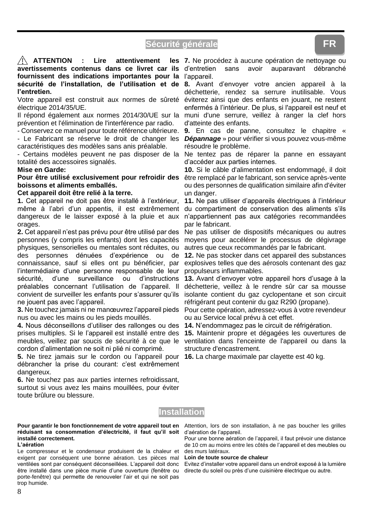# **Sécurité générale**



Votre appareil est construit aux normes de sûreté électrique 2014/35/UE.

Il répond également aux normes 2014/30/UE sur la prévention et l'élimination de l'interférence par radio.

- Conservez ce manuel pour toute référence ultérieure. - Le Fabricant se réserve le droit de changer les

caractéristiques des modèles sans anis préalable.

- Certains modèles peuvent ne pas disposer de la totalité des accessoires signalés.

### **Mise en Garde:**

**Pour être utilisé exclusivement pour refroidir des boissons et aliments emballés.**

### **Cet appareil doit être relié à la terre.**

**1.** Cet appareil ne doit pas être installé à l'extérieur, même à l'abri d'un appentis, il est extrêmement dangereux de le laisser exposé à la pluie et aux orages.

**2.** Cet appareil n'est pas prévu pour être utilisé par des personnes (y compris les enfants) dont les capacités physiques, sensorielles ou mentales sont réduites, ou des personnes dénuées d'expérience ou de connaissance, sauf si elles ont pu bénéficier, par l'intermédiaire d'une personne responsable de leur sécurité, d'une surveillance ou d'instructions préalables concernant l'utilisation de l'appareil. Il convient de surveiller les enfants pour s'assurer qu'ils ne jouent pas avec l'appareil.

**3.** Ne touchez jamais ni ne manœuvrez l'appareil pieds nus ou avec les mains ou les pieds mouillés.

**4.** Nous déconseillons d'utiliser des rallonges ou des prises multiples. Si le l'appareil est installé entre des meubles, veillez par soucis de sécurité à ce que le cordon d'alimentation ne soit ni plié ni comprimé.

**5.** Ne tirez jamais sur le cordon ou l'appareil pour **16.** La charge maximale par clayette est 40 kg. débrancher la prise du courant: c'est extrêmement dangereux.

**6.** Ne touchez pas aux parties internes refroidissant, surtout si vous avez les mains mouillées, pour éviter toute brûlure ou blessure.

**7.** Ne procédez à aucune opération de nettoyage ou

déchetterie, rendez sa serrure inutilisable. Vous éviterez ainsi que des enfants en jouant, ne restent enfermés à l'intérieur. De plus, si l'appareil est neuf et muni d'une serrure, veillez à ranger la clef hors d'atteinte des enfants.

**9.** En cas de panne, consultez le chapitre « *Dépannage* » pour vérifier si vous pouvez vous-même résoudre le problème.

Ne tentez pas de réparer la panne en essayant d'accéder aux parties internes.

**10.** Si le câble d'alimentation est endommagé, il doit être remplacé par le fabricant, son service après-vente ou des personnes de qualification similaire afin d'éviter un danger.

**11.** Ne pas utiliser d'appareils électriques à l'intérieur du compartiment de conservation des aliments s'ils n'appartiennent pas aux catégories recommandées par le fabricant.

Ne pas utiliser de dispositifs mécaniques ou autres moyens pour accélérer le processus de dégivrage autres que ceux recommandés par le fabricant.

**12.** Ne pas stocker dans cet appareil des substances explosives telles que des aérosols contenant des gaz propulseurs inflammables.

**13.** Avant d'envoyer votre appareil hors d'usage à la déchetterie, veillez à le rendre sûr car sa mousse isolante contient du gaz cyclopentane et son circuit réfrigérant peut contenir du gaz R290 (propane).

Pour cette opération, adressez-vous à votre revendeur ou au Service local prévu à cet effet.

**14.** N'endommagez pas le circuit de réfrigération.

**15.** Maintenir propre et dégagées les ouvertures de ventilation dans l'enceinte de l'appareil ou dans la structure d'encastrement.

# **Installation**

### **Pour garantir le bon fonctionnement de votre appareil tout en réduisant sa consommation d'électricité, il faut qu'il soit installé correctement.**

### **L'aération**

Le compresseur et le condenseur produisent de la chaleur et exigent par conséquent une bonne aération. Les pièces mal ventilées sont par conséquent déconseillées. L'appareil doit donc être installé dans une pièce munie d'une ouverture (fenêtre ou porte-fenêtre) qui permette de renouveler l'air et qui ne soit pas trop humide.

Attention, lors de son installation, à ne pas boucher les grilles d'aération de l'appareil.

Pour une bonne aération de l'appareil, il faut prévoir une distance de 10 cm au moins entre les côtés de l'appareil et des meubles ou des murs latéraux.

### **Loin de toute source de chaleur**

Evitez d'installer votre appareil dans un endroit exposé à la lumière directe du soleil ou près d'une cuisinière électrique ou autre.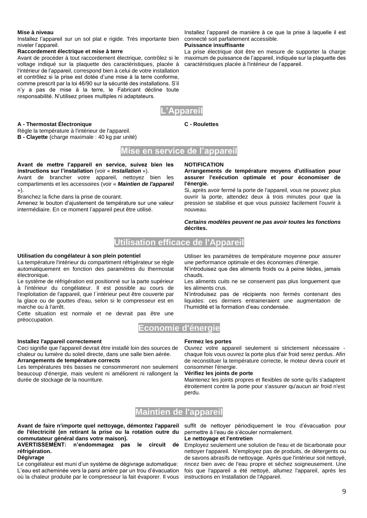### **Mise à niveau**

Installez l'appareil sur un sol plat e rigide. Très importante bien niveler l'appareil.

### **Raccordement électrique et mise à terre**

**A - Thermostat Électronique**

Avant de procéder à tout raccordement électrique, contrôlez si le voltage indiqué sur la plaquette des caractéristiques, placée à l'intérieur de l'appareil, correspond bien à celui de votre installation et contrôlez si la prise est dotée d'une mise à la terre conforme, comme prescrit par la loi 46/90 sur la sécurité des installations. S'il n'y a pas de mise à la terre, le Fabricant décline toute responsabilité. N'utilisez prises multiples ni adaptateurs.



**C - Roulettes**

# **Mise en service de l'appareil**

### **Avant de mettre l'appareil en service, suivez bien les instructions sur l'installation** (voir « *Installation* »).

Avant de brancher votre appareil, nettoyez bien les compartiments et les accessoires (voir « *Maintien de l'appareil* »).

Branchez la fiche dans la prise de courant.

Règle la température à l'intérieur de l'appareil. **B - Clayette** (charge maximale : 40 kg par unité)

Amenez le bouton d'ajustement de température sur une valeur intermédiaire. En ce moment l'appareil peut être utilisé.

### **NOTIFICATION**

**Arrangements de température moyens d'utilisation pour assurer l'exécution optimale et pour économiser de l'énergie.**

Si, après avoir fermé la porte de l'appareil, vous ne pouvez plus ouvrir la porte, attendez deux à trois minutes pour que la pression se stabilise et que vous puissiez facilement l'ouvrir à nouveau.

*Certains modèles peuvent ne pas avoir toutes les fonctions* **décrites.**

# **Utilisation efficace de l'Appareil**

### **Utilisation du congélateur à son plein potentiel**

La température l'intérieur du compartiment réfrigérateur se règle automatiquement en fonction des paramètres du thermostat électronique.

Le système de réfrigération est positionné sur la parte supérieur à l'intérieur du congélateur. Il est possible au cours de l'exploitation de l'appareil, que l´intérieur peut être couverte par la glace ou de gouttes d'eau, selon si le compresseur est en marche ou à l'arrêt.

Cette situation est normale et ne devrait pas être une préoccupation.

# **Economie d'énergie**

### **Installez l'appareil correctement**

Ceci signifie que l'appareil devrait être installé loin des sources de chaleur ou lumière du soleil directe, dans une salle bien aérée. **Arrangements de température corrects**

Les températures très basses ne consommeront non seulement beaucoup d'énergie, mais veulent ni améliorent ni rallongent la durée de stockage de la nourriture.

Utiliser les paramètres de température moyenne pour assurer une performance optimale et des économies d'énergie.

N'introduisez que des aliments froids ou à peine tièdes, jamais chauds.

Les aliments cuits ne se conservent pas plus longuement que les aliments crus.

N'introduisez pas de récipients non fermés contenant des liquides: ces derniers entraineraient une augmentation de l'humidité et la formation d'eau condensée.

# **Fermez les portes**

Ouvrez votre appareil seulement si strictement nécessaire chaque fois vous ouvrez la porte plus d'air froid serez perdus. Afin de reconstituer la température correcte, le moteur devra courir et consommer l'énergie.

### **Vérifiez les joints de porte**

Maintenez les joints propres et flexibles de sorte qu'ils s'adaptent étroitement contre la porte pour s'assurer qu'aucun air froid n'est perdu.

# **Maintien de l'appareil**

**Avant de faire n'importe quel nettoyage, démontez l'appareil de l'électricité (en retirant la prise ou la rotation outre du commutateur général dans votre maison).**

**AVERTISSEMENT: n'endommagez pas le circuit de réfrigération.**

### **Dégivrage**

Le congélateur est muni d'un système de dégivrage automatique: L'eau est acheminée vers la paroi arrière par un trou d'évacuation où la chaleur produite par le compresseur la fait évaporer. Il vous

suffit de nettoyer périodiquement le trou d'évacuation pour permettre à l'eau de s'écouler normalement.

### **Le nettoyage et l'entretien**

Employez seulement une solution de l'eau et de bicarbonate pour nettoyer l'appareil. N'employez pas de produits, de détergents ou de savons abrasifs de nettoyage. Après que l'intérieur soit nettoyé, rincez bien avec de l'eau propre et séchez soigneusement. Une fois que l'appareil a été nettoyé, allumez l'appareil, après les instructions en Installation de l'Appareil.

Installez l'appareil de manière à ce que la prise à laquelle il est connecté soit parfaitement accessible.

### **Puissance insuffisante**

La prise électrique doit être en mesure de supporter la charge maximum de puissance de l'appareil, indiquée sur la plaquette des caractéristiques placée à l'intérieur de l'appareil.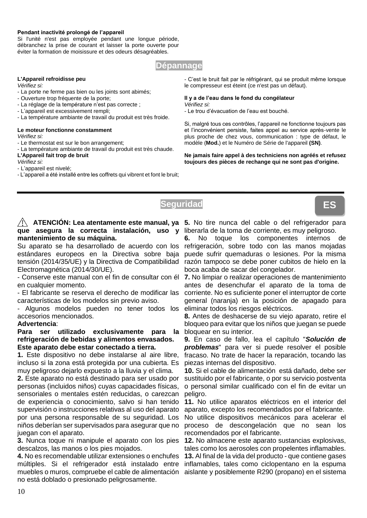### **Pendant inactivité prolongé de l'appareil**

Si l'unité n'est pas employée pendant une longue période, débranchez la prise de courant et laisser la porte ouverte pour éviter la formation de moisissure et des odeurs désagréables.

# **Dépannage**

**Seguridad**

### **L'Appareil refroidisse peu**

*Vérifiez si:*

- La porte ne ferme pas bien ou les joints sont abimés;
- Ouverture trop fréquente de la porte;
- La réglage de la température n'est pas correcte ;
- L'appareil est excessivement rempli;
- La température ambiante de travail du produit est très froide.

### **Le moteur fonctionne constamment** *Vérifiez si:*

- Le thermostat est sur le bon arrangement;
- La température ambiante de travail du produit est très chaude. **L'Appareil fait trop de bruit**

*Vérifiez si:*

- L'appareil est nivelé;
- L'appareil a été installé entre les coffrets qui vibrent et font le bruit;

- C'est le bruit fait par le réfrigérant, qui se produit même lorsque le compresseur est éteint (ce n'est pas un défaut).

### **Il y a de l'eau dans le fond du congélateur** *Vérifiez si:*

- Le trou d'évacuation de l'eau est bouché.

Si, malgré tous ces contrôles, l'appareil ne fonctionne toujours pas et l'inconvénient persiste, faites appel au service après-vente le plus proche de chez vous, communication : type de défaut, le modèle (**Mod.**) et le Numéro de Série de l'appareil **(SN)**.

**Ne jamais faire appel à des techniciens non agréés et refusez toujours des pièces de rechange qui ne sont pas d'origine.**



# **que asegura la correcta instalación, uso y**  liberarla de la toma de corriente, es muy peligroso. **mantenimiento de su máquina.**

Su aparato se ha desarrollado de acuerdo con los estándares europeos en la Directiva sobre baja tensión (2014/35/UE) y la Directiva de Compatibilidad Electromagnética (2014/30/UE).

- Conserve este manual con el fin de consultar con él en cualquier momento.

- El fabricante se reserva el derecho de modificar las características de los modelos sin previo aviso.

- Algunos modelos pueden no tener todos los accesorios mencionados.

### **Advertencia**:

### **Para ser utilizado exclusivamente para la refrigeración de bebidas y alimentos envasados. Este aparato debe estar conectado a tierra.**

**1.** Este dispositivo no debe instalarse al aire libre, incluso si la zona está protegida por una cubierta. Es muy peligroso dejarlo expuesto a la lluvia y el clima.

**2.** Este aparato no está destinado para ser usado por personas (incluidos niños) cuyas capacidades físicas, sensoriales o mentales estén reducidas, o carezcan de experiencia o conocimiento, salvo si han tenido supervisión o instrucciones relativas al uso del aparato por una persona responsable de su seguridad. Los niños deberían ser supervisados para asegurar que no juegan con el aparato.

**3.** Nunca toque ni manipule el aparato con los pies descalzos, las manos o los pies mojados.

**4.** No es recomendable utilizar extensiones o enchufes múltiples. Si el refrigerador está instalado entre inflamables, tales como ciclopentano en la espuma muebles o muros, compruebe el cable de alimentación aislante y posiblemente R290 (propano) en el sistema no está doblado o presionado peligrosamente.

**ATENCIÓN: Lea atentamente este manual, ya 5.** No tire nunca del cable o del refrigerador para

**6.** No toque los componentes internos de refrigeración, sobre todo con las manos mojadas puede sufrir quemaduras o lesiones. Por la misma razón tampoco se debe poner cubitos de hielo en la boca acaba de sacar del congelador.

**7.** No limpiar o realizar operaciones de mantenimiento antes de desenchufar el aparato de la toma de corriente. No es suficiente poner el interruptor de corte general (naranja) en la posición de apagado para eliminar todos los riesgos eléctricos.

**8.** Antes de deshacerse de su viejo aparato, retire el bloqueo para evitar que los niños que juegan se puede bloquear en su interior.

**9.** En caso de fallo, lea el capítulo "*Solución de problemas*" para ver si puede resolver el posible fracaso. No trate de hacer la reparación, tocando las piezas internas del dispositivo.

**10.** Si el cable de alimentación está dañado, debe ser sustituido por el fabricante, o por su servicio postventa o personal similar cualificado con el fin de evitar un peligro.

**11.** No utilice aparatos eléctricos en el interior del aparato, excepto los recomendados por el fabricante. No utilice dispositivos mecánicos para acelerar el proceso de descongelación que no sean los

recomendados por el fabricante. **12.** No almacene este aparato sustancias explosivas, tales como los aerosoles con propelentes inflamables.

**13.** Al final de la vida del producto - que contiene gases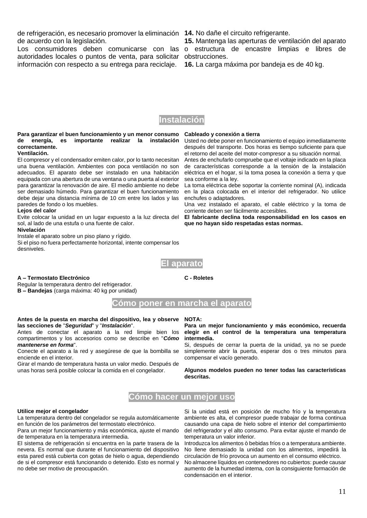de refrigeración, es necesario promover la eliminación **14.** No dañe el circuito refrigerante. de acuerdo con la legislación.

Los consumidores deben comunicarse con las o estructura de encastre limpias e libres de autoridades locales o puntos de venta, para solicitar obstrucciones. información con respecto a su entrega para reciclaje.

**15.** Mantenga las aperturas de ventilación del aparato

**16.** La carga máxima por bandeja es de 40 kg.



### **Para garantizar el buen funcionamiento y un menor consumo de energía, es importante realizar la instalación correctamente.**

### **Ventilación.**

El compresor y el condensador emiten calor, por lo tanto necesitan una buena ventilación. Ambientes con poca ventilación no son adecuados. El aparato debe ser instalado en una habitación equipada con una abertura de una ventana o una puerta al exterior para garantizar la renovación de aire. El medio ambiente no debe ser demasiado húmedo. Para garantizar el buen funcionamiento debe dejar una distancia mínima de 10 cm entre los lados y las paredes de fondo o los muebles.

### **Lejos del calor**

Evite colocar la unidad en un lugar expuesto a la luz directa del sol, al lado de una estufa o una fuente de calor.

### **Nivelación**

Instale el aparato sobre un piso plano y rígido. Si el piso no fuera perfectamente horizontal, intente compensar los desniveles.

### **Cableado y conexión a tierra**

Usted no debe poner en funcionamiento el equipo inmediatamente después del transporte. Dos horas es tiempo suficiente para que el retorno del aceite del motor-compresor a su situación normal.

Antes de enchufarlo compruebe que el voltaje indicado en la placa de características corresponde a la tensión de la instalación eléctrica en el hogar, si la toma posea la conexión a tierra y que sea conforme a la ley.

La toma eléctrica debe soportar la corriente nominal (A), indicada en la placa colocada en el interior del refrigerador. No utilice enchufes o adaptadores.

Una vez instalado el aparato, el cable eléctrico y la toma de corriente deben ser fácilmente accesibles.

**El fabricante declina toda responsabilidad en los casos en que no hayan sido respetadas estas normas.**



**C - Roletes**

### **A – Termostato Electrónico**

Regular la temperatura dentro del refrigerador. **B – Bandejas** (carga máxima: 40 kg por unidad)

# **Cómo poner en marcha el aparato**

### **Antes de la puesta en marcha del dispositivo, lea y observe NOTA: las secciones de** "*Seguridad*" y "*Instalación*".

Antes de conectar el aparato a la red limpie bien los compartimentos y los accesorios como se describe en "*Cómo mantenerse en forma*".

Conecte el aparato a la red y asegúrese de que la bombilla se enciende en el interior.

Girar el mando de temperatura hasta un valor medio. Después de unas horas será posible colocar la comida en el congelador.

### **Para un mejor funcionamiento y más económico, recuerda elegir en el control de la temperatura una temperatura intermedia.**

Si, después de cerrar la puerta de la unidad, ya no se puede simplemente abrir la puerta, esperar dos o tres minutos para compensar el vacío generado.

**Algunos modelos pueden no tener todas las características descritas.**

# **Cómo hacer un mejor uso**

### **Utilice mejor el congelador**

La temperatura dentro del congelador se regula automáticamente en función de los parámetros del termostato electrónico.

Para un mejor funcionamiento y más económica, ajuste el mando de temperatura en la temperatura intermedia.

El sistema de refrigeración si encuentra en la parte trasera de la nevera. Es normal que durante el funcionamiento del dispositivo esta pared está cubierta con gotas de hielo o agua, dependiendo de si el compresor está funcionando o detenido. Esto es normal y no debe ser motivo de preocupación.

Si la unidad está en posición de mucho frío y la temperatura ambiente es alta, el compresor puede trabajar de forma continua causando una capa de hielo sobre el interior del compartimiento del refrigerador y el alto consumo. Para evitar ajuste el mando de temperatura un valor inferior.

Introduzca los alimentos ò bebidas fríos o a temperatura ambiente. No llene demasiado la unidad con los alimentos, impedirá la circulación de frío provoca un aumento en el consumo eléctrico.

No almacene líquidos en contenedores no cubiertos: puede causar aumento de la humedad interna, con la consiguiente formación de condensación en el interior.